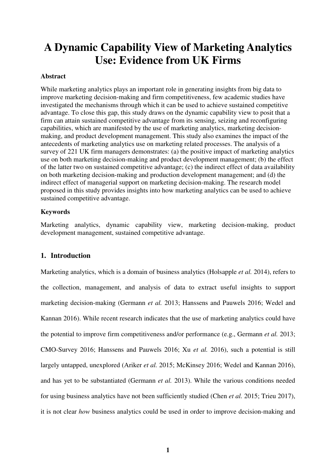# **A Dynamic Capability View of Marketing Analytics Use: Evidence from UK Firms**

#### **Abstract**

While marketing analytics plays an important role in generating insights from big data to improve marketing decision-making and firm competitiveness, few academic studies have investigated the mechanisms through which it can be used to achieve sustained competitive advantage. To close this gap, this study draws on the dynamic capability view to posit that a firm can attain sustained competitive advantage from its sensing, seizing and reconfiguring capabilities, which are manifested by the use of marketing analytics, marketing decisionmaking, and product development management. This study also examines the impact of the antecedents of marketing analytics use on marketing related processes. The analysis of a survey of 221 UK firm managers demonstrates: (a) the positive impact of marketing analytics use on both marketing decision-making and product development management; (b) the effect of the latter two on sustained competitive advantage; (c) the indirect effect of data availability on both marketing decision-making and production development management; and (d) the indirect effect of managerial support on marketing decision-making. The research model proposed in this study provides insights into how marketing analytics can be used to achieve sustained competitive advantage.

## **Keywords**

Marketing analytics, dynamic capability view, marketing decision-making, product development management, sustained competitive advantage.

## **1. Introduction**

Marketing analytics, which is a domain of business analytics (Holsapple *et al.* 2014), refers to the collection, management, and analysis of data to extract useful insights to support marketing decision-making (Germann *et al.* 2013; Hanssens and Pauwels 2016; Wedel and Kannan 2016). While recent research indicates that the use of marketing analytics could have the potential to improve firm competitiveness and/or performance (e.g., Germann *et al.* 2013; CMO-Survey 2016; Hanssens and Pauwels 2016; Xu *et al.* 2016), such a potential is still largely untapped, unexplored (Ariker *et al.* 2015; McKinsey 2016; Wedel and Kannan 2016), and has yet to be substantiated (Germann *et al.* 2013). While the various conditions needed for using business analytics have not been sufficiently studied (Chen *et al.* 2015; Trieu 2017), it is not clear *how* business analytics could be used in order to improve decision-making and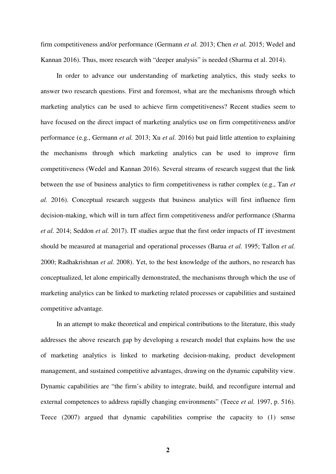firm competitiveness and/or performance (Germann *et al.* 2013; Chen *et al.* 2015; Wedel and Kannan 2016). Thus, more research with "deeper analysis" is needed (Sharma et al. 2014).

In order to advance our understanding of marketing analytics, this study seeks to answer two research questions. First and foremost, what are the mechanisms through which marketing analytics can be used to achieve firm competitiveness? Recent studies seem to have focused on the direct impact of marketing analytics use on firm competitiveness and/or performance (e.g., Germann *et al.* 2013; Xu *et al.* 2016) but paid little attention to explaining the mechanisms through which marketing analytics can be used to improve firm competitiveness (Wedel and Kannan 2016). Several streams of research suggest that the link between the use of business analytics to firm competitiveness is rather complex (e.g., Tan *et al.* 2016). Conceptual research suggests that business analytics will first influence firm decision-making, which will in turn affect firm competitiveness and/or performance (Sharma *et al.* 2014; Seddon *et al.* 2017). IT studies argue that the first order impacts of IT investment should be measured at managerial and operational processes (Barua *et al.* 1995; Tallon *et al.* 2000; Radhakrishnan *et al.* 2008). Yet, to the best knowledge of the authors, no research has conceptualized, let alone empirically demonstrated, the mechanisms through which the use of marketing analytics can be linked to marketing related processes or capabilities and sustained competitive advantage.

In an attempt to make theoretical and empirical contributions to the literature, this study addresses the above research gap by developing a research model that explains how the use of marketing analytics is linked to marketing decision-making, product development management, and sustained competitive advantages, drawing on the dynamic capability view. Dynamic capabilities are "the firm's ability to integrate, build, and reconfigure internal and external competences to address rapidly changing environments" (Teece *et al.* 1997, p. 516). Teece (2007) argued that dynamic capabilities comprise the capacity to (1) sense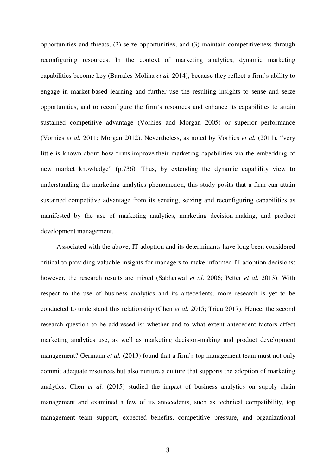opportunities and threats, (2) seize opportunities, and (3) maintain competitiveness through reconfiguring resources. In the context of marketing analytics, dynamic marketing capabilities become key (Barrales‐Molina *et al.* 2014), because they reflect a firm's ability to engage in market-based learning and further use the resulting insights to sense and seize opportunities, and to reconfigure the firm's resources and enhance its capabilities to attain sustained competitive advantage (Vorhies and Morgan 2005) or superior performance (Vorhies *et al.* 2011; Morgan 2012). Nevertheless, as noted by Vorhies *et al.* (2011), "very little is known about how firms improve their marketing capabilities via the embedding of new market knowledge" (p.736). Thus, by extending the dynamic capability view to understanding the marketing analytics phenomenon, this study posits that a firm can attain sustained competitive advantage from its sensing, seizing and reconfiguring capabilities as manifested by the use of marketing analytics, marketing decision-making, and product development management.

Associated with the above, IT adoption and its determinants have long been considered critical to providing valuable insights for managers to make informed IT adoption decisions; however, the research results are mixed (Sabherwal *et al.* 2006; Petter *et al.* 2013). With respect to the use of business analytics and its antecedents, more research is yet to be conducted to understand this relationship (Chen *et al.* 2015; Trieu 2017). Hence, the second research question to be addressed is: whether and to what extent antecedent factors affect marketing analytics use, as well as marketing decision-making and product development management? Germann *et al.* (2013) found that a firm's top management team must not only commit adequate resources but also nurture a culture that supports the adoption of marketing analytics. Chen *et al.* (2015) studied the impact of business analytics on supply chain management and examined a few of its antecedents, such as technical compatibility, top management team support, expected benefits, competitive pressure, and organizational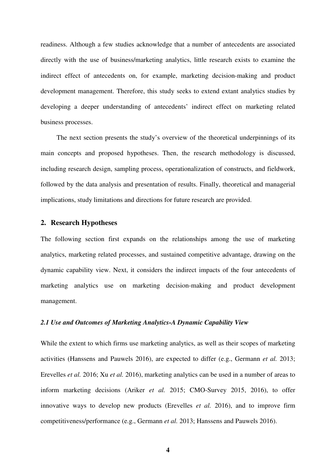readiness. Although a few studies acknowledge that a number of antecedents are associated directly with the use of business/marketing analytics, little research exists to examine the indirect effect of antecedents on, for example, marketing decision-making and product development management. Therefore, this study seeks to extend extant analytics studies by developing a deeper understanding of antecedents' indirect effect on marketing related business processes.

The next section presents the study's overview of the theoretical underpinnings of its main concepts and proposed hypotheses. Then, the research methodology is discussed, including research design, sampling process, operationalization of constructs, and fieldwork, followed by the data analysis and presentation of results. Finally, theoretical and managerial implications, study limitations and directions for future research are provided.

## **2. Research Hypotheses**

The following section first expands on the relationships among the use of marketing analytics, marketing related processes, and sustained competitive advantage, drawing on the dynamic capability view. Next, it considers the indirect impacts of the four antecedents of marketing analytics use on marketing decision-making and product development management.

### *2.1 Use and Outcomes of Marketing Analytics-A Dynamic Capability View*

While the extent to which firms use marketing analytics, as well as their scopes of marketing activities (Hanssens and Pauwels 2016), are expected to differ (e.g., Germann *et al.* 2013; Erevelles *et al.* 2016; Xu *et al.* 2016), marketing analytics can be used in a number of areas to inform marketing decisions (Ariker *et al.* 2015; CMO-Survey 2015, 2016), to offer innovative ways to develop new products (Erevelles *et al.* 2016), and to improve firm competitiveness/performance (e.g., Germann *et al.* 2013; Hanssens and Pauwels 2016).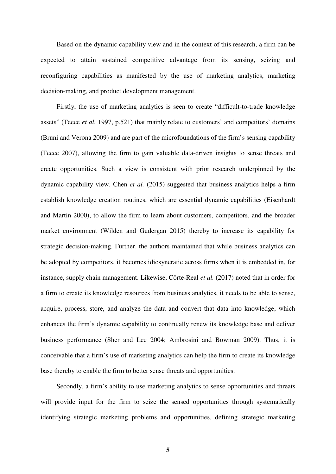Based on the dynamic capability view and in the context of this research, a firm can be expected to attain sustained competitive advantage from its sensing, seizing and reconfiguring capabilities as manifested by the use of marketing analytics, marketing decision-making, and product development management.

Firstly, the use of marketing analytics is seen to create "difficult-to-trade knowledge assets" (Teece *et al.* 1997, p.521) that mainly relate to customers' and competitors' domains (Bruni and Verona 2009) and are part of the microfoundations of the firm's sensing capability (Teece 2007), allowing the firm to gain valuable data-driven insights to sense threats and create opportunities. Such a view is consistent with prior research underpinned by the dynamic capability view. Chen *et al.* (2015) suggested that business analytics helps a firm establish knowledge creation routines, which are essential dynamic capabilities (Eisenhardt and Martin 2000), to allow the firm to learn about customers, competitors, and the broader market environment (Wilden and Gudergan 2015) thereby to increase its capability for strategic decision-making. Further, the authors maintained that while business analytics can be adopted by competitors, it becomes idiosyncratic across firms when it is embedded in, for instance, supply chain management. Likewise, Côrte-Real *et al.* (2017) noted that in order for a firm to create its knowledge resources from business analytics, it needs to be able to sense, acquire, process, store, and analyze the data and convert that data into knowledge, which enhances the firm's dynamic capability to continually renew its knowledge base and deliver business performance (Sher and Lee 2004; Ambrosini and Bowman 2009). Thus, it is conceivable that a firm's use of marketing analytics can help the firm to create its knowledge base thereby to enable the firm to better sense threats and opportunities.

Secondly, a firm's ability to use marketing analytics to sense opportunities and threats will provide input for the firm to seize the sensed opportunities through systematically identifying strategic marketing problems and opportunities, defining strategic marketing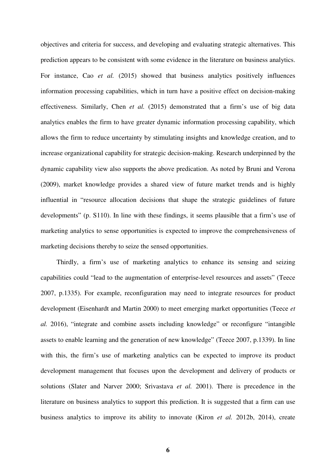objectives and criteria for success, and developing and evaluating strategic alternatives. This prediction appears to be consistent with some evidence in the literature on business analytics. For instance, Cao *et al.* (2015) showed that business analytics positively influences information processing capabilities, which in turn have a positive effect on decision-making effectiveness. Similarly, Chen *et al.* (2015) demonstrated that a firm's use of big data analytics enables the firm to have greater dynamic information processing capability, which allows the firm to reduce uncertainty by stimulating insights and knowledge creation, and to increase organizational capability for strategic decision-making. Research underpinned by the dynamic capability view also supports the above predication. As noted by Bruni and Verona (2009), market knowledge provides a shared view of future market trends and is highly influential in "resource allocation decisions that shape the strategic guidelines of future developments" (p. S110). In line with these findings, it seems plausible that a firm's use of marketing analytics to sense opportunities is expected to improve the comprehensiveness of marketing decisions thereby to seize the sensed opportunities.

Thirdly, a firm's use of marketing analytics to enhance its sensing and seizing capabilities could "lead to the augmentation of enterprise-level resources and assets" (Teece 2007, p.1335). For example, reconfiguration may need to integrate resources for product development (Eisenhardt and Martin 2000) to meet emerging market opportunities (Teece *et al.* 2016), "integrate and combine assets including knowledge" or reconfigure "intangible assets to enable learning and the generation of new knowledge" (Teece 2007, p.1339). In line with this, the firm's use of marketing analytics can be expected to improve its product development management that focuses upon the development and delivery of products or solutions (Slater and Narver 2000; Srivastava *et al.* 2001). There is precedence in the literature on business analytics to support this prediction. It is suggested that a firm can use business analytics to improve its ability to innovate (Kiron *et al.* 2012b, 2014), create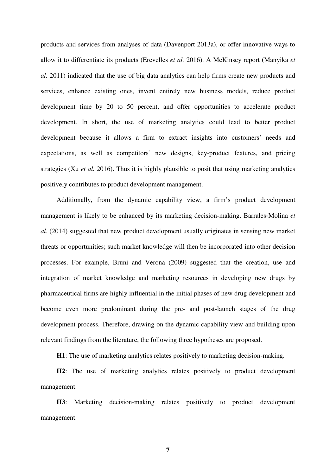products and services from analyses of data (Davenport 2013a), or offer innovative ways to allow it to differentiate its products (Erevelles *et al.* 2016). A McKinsey report (Manyika *et al.* 2011) indicated that the use of big data analytics can help firms create new products and services, enhance existing ones, invent entirely new business models, reduce product development time by 20 to 50 percent, and offer opportunities to accelerate product development. In short, the use of marketing analytics could lead to better product development because it allows a firm to extract insights into customers' needs and expectations, as well as competitors' new designs, key-product features, and pricing strategies (Xu *et al.* 2016). Thus it is highly plausible to posit that using marketing analytics positively contributes to product development management.

Additionally, from the dynamic capability view, a firm's product development management is likely to be enhanced by its marketing decision-making. Barrales‐Molina *et al.* (2014) suggested that new product development usually originates in sensing new market threats or opportunities; such market knowledge will then be incorporated into other decision processes. For example, Bruni and Verona (2009) suggested that the creation, use and integration of market knowledge and marketing resources in developing new drugs by pharmaceutical firms are highly influential in the initial phases of new drug development and become even more predominant during the pre- and post-launch stages of the drug development process. Therefore, drawing on the dynamic capability view and building upon relevant findings from the literature, the following three hypotheses are proposed.

**H1**: The use of marketing analytics relates positively to marketing decision-making.

**H2**: The use of marketing analytics relates positively to product development management.

**H3**: Marketing decision-making relates positively to product development management.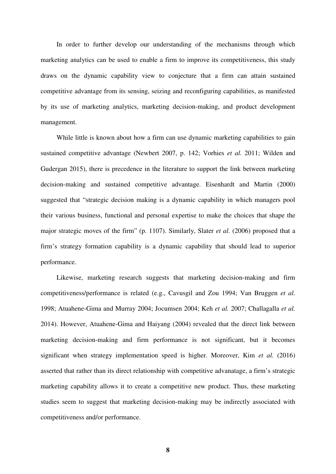In order to further develop our understanding of the mechanisms through which marketing analytics can be used to enable a firm to improve its competitiveness, this study draws on the dynamic capability view to conjecture that a firm can attain sustained competitive advantage from its sensing, seizing and reconfiguring capabilities, as manifested by its use of marketing analytics, marketing decision-making, and product development management.

While little is known about how a firm can use dynamic marketing capabilities to gain sustained competitive advantage (Newbert 2007, p. 142; Vorhies *et al.* 2011; Wilden and Gudergan 2015), there is precedence in the literature to support the link between marketing decision-making and sustained competitive advantage. Eisenhardt and Martin (2000) suggested that "strategic decision making is a dynamic capability in which managers pool their various business, functional and personal expertise to make the choices that shape the major strategic moves of the firm" (p. 1107). Similarly, Slater *et al.* (2006) proposed that a firm's strategy formation capability is a dynamic capability that should lead to superior performance.

Likewise, marketing research suggests that marketing decision-making and firm competitiveness/performance is related (e.g., Cavusgil and Zou 1994; Van Bruggen *et al.* 1998; Atuahene-Gima and Murray 2004; Jocumsen 2004; Keh *et al.* 2007; Challagalla *et al.* 2014). However, Atuahene-Gima and Haiyang (2004) revealed that the direct link between marketing decision-making and firm performance is not significant, but it becomes significant when strategy implementation speed is higher. Moreover, Kim *et al.* (2016) asserted that rather than its direct relationship with competitive advanatage, a firm's strategic marketing capability allows it to create a competitive new product. Thus, these marketing studies seem to suggest that marketing decision-making may be indirectly associated with competitiveness and/or performance.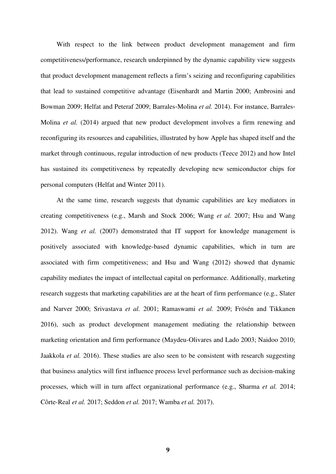With respect to the link between product development management and firm competitiveness/performance, research underpinned by the dynamic capability view suggests that product development management reflects a firm's seizing and reconfiguring capabilities that lead to sustained competitive advantage (Eisenhardt and Martin 2000; Ambrosini and Bowman 2009; Helfat and Peteraf 2009; Barrales‐Molina *et al.* 2014). For instance, Barrales‐ Molina *et al.* (2014) argued that new product development involves a firm renewing and reconfiguring its resources and capabilities, illustrated by how Apple has shaped itself and the market through continuous, regular introduction of new products (Teece 2012) and how Intel has sustained its competitiveness by repeatedly developing new semiconductor chips for personal computers (Helfat and Winter 2011).

At the same time, research suggests that dynamic capabilities are key mediators in creating competitiveness (e.g., Marsh and Stock 2006; Wang *et al.* 2007; Hsu and Wang 2012). Wang *et al.* (2007) demonstrated that IT support for knowledge management is positively associated with knowledge-based dynamic capabilities, which in turn are associated with firm competitiveness; and Hsu and Wang (2012) showed that dynamic capability mediates the impact of intellectual capital on performance. Additionally, marketing research suggests that marketing capabilities are at the heart of firm performance (e.g., Slater and Narver 2000; Srivastava *et al.* 2001; Ramaswami *et al.* 2009; Frösén and Tikkanen 2016), such as product development management mediating the relationship between marketing orientation and firm performance (Maydeu-Olivares and Lado 2003; Naidoo 2010; Jaakkola *et al.* 2016). These studies are also seen to be consistent with research suggesting that business analytics will first influence process level performance such as decision-making processes, which will in turn affect organizational performance (e.g., Sharma *et al.* 2014; Côrte-Real *et al.* 2017; Seddon *et al.* 2017; Wamba *et al.* 2017).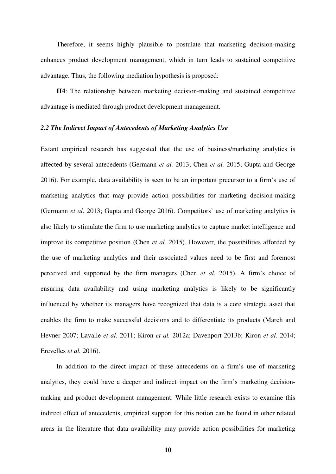Therefore, it seems highly plausible to postulate that marketing decision-making enhances product development management, which in turn leads to sustained competitive advantage. Thus, the following mediation hypothesis is proposed:

**H4**: The relationship between marketing decision-making and sustained competitive advantage is mediated through product development management.

#### *2.2 The Indirect Impact of Antecedents of Marketing Analytics Use*

Extant empirical research has suggested that the use of business/marketing analytics is affected by several antecedents (Germann *et al.* 2013; Chen *et al.* 2015; Gupta and George 2016). For example, data availability is seen to be an important precursor to a firm's use of marketing analytics that may provide action possibilities for marketing decision-making (Germann *et al.* 2013; Gupta and George 2016). Competitors' use of marketing analytics is also likely to stimulate the firm to use marketing analytics to capture market intelligence and improve its competitive position (Chen *et al.* 2015). However, the possibilities afforded by the use of marketing analytics and their associated values need to be first and foremost perceived and supported by the firm managers (Chen *et al.* 2015). A firm's choice of ensuring data availability and using marketing analytics is likely to be significantly influenced by whether its managers have recognized that data is a core strategic asset that enables the firm to make successful decisions and to differentiate its products (March and Hevner 2007; Lavalle *et al.* 2011; Kiron *et al.* 2012a; Davenport 2013b; Kiron *et al.* 2014; Erevelles *et al.* 2016).

In addition to the direct impact of these antecedents on a firm's use of marketing analytics, they could have a deeper and indirect impact on the firm's marketing decisionmaking and product development management. While little research exists to examine this indirect effect of antecedents, empirical support for this notion can be found in other related areas in the literature that data availability may provide action possibilities for marketing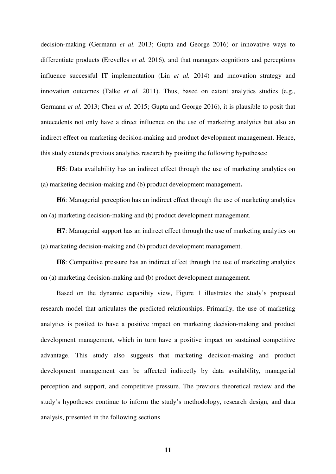decision-making (Germann *et al.* 2013; Gupta and George 2016) or innovative ways to differentiate products (Erevelles *et al.* 2016), and that managers cognitions and perceptions influence successful IT implementation (Lin *et al.* 2014) and innovation strategy and innovation outcomes (Talke *et al.* 2011). Thus, based on extant analytics studies (e.g., Germann *et al.* 2013; Chen *et al.* 2015; Gupta and George 2016), it is plausible to posit that antecedents not only have a direct influence on the use of marketing analytics but also an indirect effect on marketing decision-making and product development management. Hence, this study extends previous analytics research by positing the following hypotheses:

**H5**: Data availability has an indirect effect through the use of marketing analytics on (a) marketing decision-making and (b) product development management**.** 

**H6**: Managerial perception has an indirect effect through the use of marketing analytics on (a) marketing decision-making and (b) product development management.

**H7**: Managerial support has an indirect effect through the use of marketing analytics on (a) marketing decision-making and (b) product development management.

**H8**: Competitive pressure has an indirect effect through the use of marketing analytics on (a) marketing decision-making and (b) product development management.

Based on the dynamic capability view, Figure 1 illustrates the study's proposed research model that articulates the predicted relationships. Primarily, the use of marketing analytics is posited to have a positive impact on marketing decision-making and product development management, which in turn have a positive impact on sustained competitive advantage. This study also suggests that marketing decision-making and product development management can be affected indirectly by data availability, managerial perception and support, and competitive pressure. The previous theoretical review and the study's hypotheses continue to inform the study's methodology, research design, and data analysis, presented in the following sections.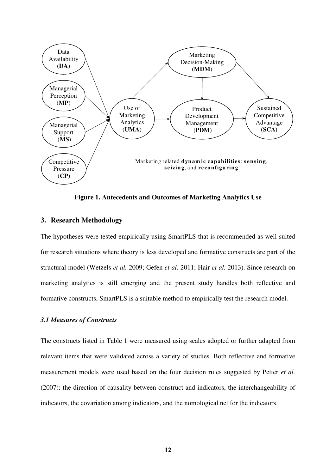

**Figure 1. Antecedents and Outcomes of Marketing Analytics Use**

## **3. Research Methodology**

The hypotheses were tested empirically using SmartPLS that is recommended as well-suited for research situations where theory is less developed and formative constructs are part of the structural model (Wetzels *et al.* 2009; Gefen *et al.* 2011; Hair *et al.* 2013). Since research on marketing analytics is still emerging and the present study handles both reflective and formative constructs, SmartPLS is a suitable method to empirically test the research model.

#### *3.1 Measures of Constructs*

The constructs listed in Table 1 were measured using scales adopted or further adapted from relevant items that were validated across a variety of studies. Both reflective and formative measurement models were used based on the four decision rules suggested by Petter *et al.* (2007): the direction of causality between construct and indicators, the interchangeability of indicators, the covariation among indicators, and the nomological net for the indicators.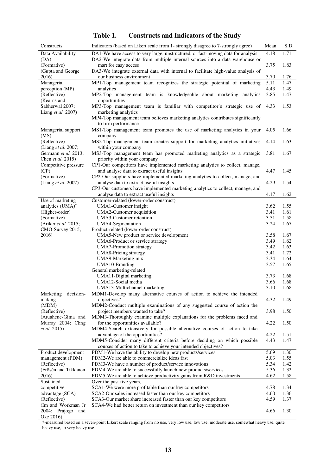| Constructs                               | Indicators (based on Likert scale from 1- strongly disagree to 7-strongly agree)                                                                                  | Mean         | S.D.         |
|------------------------------------------|-------------------------------------------------------------------------------------------------------------------------------------------------------------------|--------------|--------------|
| Data Availability<br>(DA)                | DA1-We have access to very large, unstructured, or fast-moving data for analysis<br>DA2-We integrate data from multiple internal sources into a data warehouse or | 4.18         | 1.71         |
| (Formative)                              | mart for easy access                                                                                                                                              | 3.75         | 1.83         |
| (Gupta and George<br>2016)               | DA3-We integrate external data with internal to facilitate high-value analysis of<br>our business environment                                                     |              |              |
| Managerial                               | MP1-Top management team recognizes the strategic potential of marketing                                                                                           | 3.70<br>5.11 | 1.76<br>1.47 |
| perception (MP)                          | analytics                                                                                                                                                         | 4.43         | 1.49         |
| (Reflective)                             | MP2-Top management team is knowledgeable about marketing analytics                                                                                                | 3.85         | 1.47         |
| (Kearns and<br>Sabherwal 2007;           | opportunities<br>MP3-Top management team is familiar with competitor's strategic use of                                                                           | 4.33         | 1.53         |
| Liang et al. 2007)                       | marketing analytics                                                                                                                                               |              |              |
|                                          | MP4-Top management team believes marketing analytics contributes significantly<br>to firm performance                                                             |              |              |
| Managerial support                       | MS1-Top management team promotes the use of marketing analytics in your                                                                                           | 4.05         | 1.66         |
| (MS)                                     | company                                                                                                                                                           |              | 1.63         |
| (Reflective)<br>(Liang et al. 2007;      | MS2-Top management team creates support for marketing analytics initiatives<br>within your company                                                                | 4.14         |              |
| Germann et al. 2013;                     | MS3-Top management team has promoted marketing analytics as a strategic                                                                                           | 3.81         | 1.67         |
| Chen et al. 2015)                        | priority within your company                                                                                                                                      |              |              |
| Competitive pressure<br>(CP)             | CP1-Our competitors have implemented marketing analytics to collect, manage,<br>and analyse data to extract useful insights                                       | 4.47         | 1.45         |
| (Formative)                              | CP2-Our suppliers have implemented marketing analytics to collect, manage, and                                                                                    |              |              |
| (Liang et al. 2007)                      | analyse data to extract useful insights                                                                                                                           | 4.29         | 1.54         |
|                                          | CP3-Our customers have implemented marketing analytics to collect, manage, and                                                                                    |              |              |
| Use of marketing                         | analyse data to extract useful insights<br>Customer-related (lower-order construct)                                                                               | 4.17         | 1.62         |
| analytics (UMA)*                         | UMA1-Customer insight                                                                                                                                             | 3.62         | 1.55         |
| (Higher-order)                           | UMA2-Customer acquisition                                                                                                                                         | 3.41         | 1.61         |
| (Formative)                              | UMA3-Customer retention                                                                                                                                           | 3.51         | 1.58         |
| (Ariker et al. 2015;<br>CMO-Survey 2015, | UMA4-Segmentation<br>Product-related (lower-order construct)                                                                                                      | 3.24         | 1.67         |
| 2016)                                    | UMA5-New product or service development                                                                                                                           | 3.58         | 1.67         |
|                                          | UMA6-Product or service strategy                                                                                                                                  | 3.49         | 1.62         |
|                                          | <b>UMA7-Promotion strategy</b>                                                                                                                                    | 3.42         | 1.63         |
|                                          | UMA8-Pricing strategy                                                                                                                                             | 3.41<br>3.34 | 1.72<br>1.64 |
|                                          | UMA9-Marketing mix<br>UMA10-Branding                                                                                                                              | 3.57         | 1.65         |
|                                          | General marketing-related                                                                                                                                         |              |              |
|                                          | UMA11-Digital marketing                                                                                                                                           | 3.73         | 1.68         |
|                                          | UMA12-Social media<br>UMA13-Multichannel marketing                                                                                                                | 3.66<br>3.10 | 1.68<br>1.68 |
| Marketing decision-                      | MDM1-Develop many alternative courses of action to achieve the intended                                                                                           |              |              |
| making                                   | objectives?                                                                                                                                                       | 4.32         | 1.49         |
| (MDM)                                    | MDM2-Conduct multiple examinations of any suggested course of action the                                                                                          |              |              |
| (Reflective)<br>(Atuahene-Gima and       | project members wanted to take?<br>MDM3-Thoroughly examine multiple explanations for the problems faced and                                                       | 3.98         | 1.50         |
| Murray 2004; Chng                        | for the opportunities available?                                                                                                                                  | 4.22         | 1.50         |
| <i>et al.</i> 2015)                      | MDM4-Search extensively for possible alternative courses of action to take                                                                                        |              |              |
|                                          | advantage of the opportunities?                                                                                                                                   | 4.22         | 1.51         |
|                                          | MDM5-Consider many different criteria before deciding on which possible<br>courses of action to take to achieve your intended objectives?                         | 4.43         | 1.47         |
| Product development                      | PDM1-We have the ability to develop new products/services                                                                                                         | 5.69         | 1.30         |
| management (PDM)                         | PDM2-We are able to commercialize ideas fast                                                                                                                      | 5.03         | 1.55         |
| (Reflective)                             | PDM3-We have a number of product/service innovations                                                                                                              | 5.34         | 1.42         |
| (Frösén and Tikkanen                     | PDM4-We are able to successfully launch new products/services<br>PDM5-We are able to achieve productivity gains from R&D investments                              | 5.36<br>4.62 | 1.32<br>1.58 |
| 2016)<br>Sustained                       | Over the past five years,                                                                                                                                         |              |              |
| competitive                              | SCA1-We were more profitable than our key competitors                                                                                                             | 4.78         | 1.34         |
| advantage (SCA)                          | SCA2-Our sales increased faster than our key competitors                                                                                                          | 4.60         | 1.36         |
| (Reflective)<br>(Im and Workman Jr       | SCA3-Our market share increased faster than our key competitors<br>SCA4-We had better return on investment than our key competitors                               | 4.59         | 1.37         |
| 2004; Prajogo<br>and                     |                                                                                                                                                                   | 4.66         | 1.30         |
| Oke 2016)                                |                                                                                                                                                                   |              |              |

**Table 1. Constructs and Indicators of the Study**

\*-measured based on a seven-point Likert scale ranging from no use, very low use, low use, moderate use, somewhat heavy use, quite heavy use, to very heavy use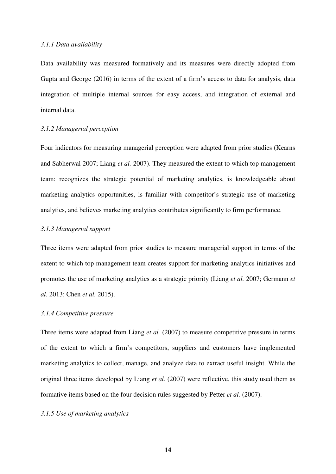#### *3.1.1 Data availability*

Data availability was measured formatively and its measures were directly adopted from Gupta and George (2016) in terms of the extent of a firm's access to data for analysis, data integration of multiple internal sources for easy access, and integration of external and internal data.

## *3.1.2 Managerial perception*

Four indicators for measuring managerial perception were adapted from prior studies (Kearns and Sabherwal 2007; Liang *et al.* 2007). They measured the extent to which top management team: recognizes the strategic potential of marketing analytics, is knowledgeable about marketing analytics opportunities, is familiar with competitor's strategic use of marketing analytics, and believes marketing analytics contributes significantly to firm performance.

## *3.1.3 Managerial support*

Three items were adapted from prior studies to measure managerial support in terms of the extent to which top management team creates support for marketing analytics initiatives and promotes the use of marketing analytics as a strategic priority (Liang *et al.* 2007; Germann *et al.* 2013; Chen *et al.* 2015).

## *3.1.4 Competitive pressure*

Three items were adapted from Liang *et al.* (2007) to measure competitive pressure in terms of the extent to which a firm's competitors, suppliers and customers have implemented marketing analytics to collect, manage, and analyze data to extract useful insight. While the original three items developed by Liang *et al.* (2007) were reflective, this study used them as formative items based on the four decision rules suggested by Petter *et al.* (2007).

## *3.1.5 Use of marketing analytics*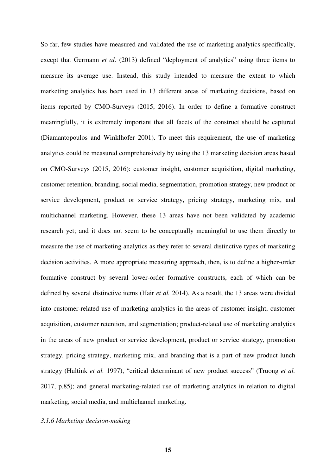So far, few studies have measured and validated the use of marketing analytics specifically, except that Germann *et al.* (2013) defined "deployment of analytics" using three items to measure its average use. Instead, this study intended to measure the extent to which marketing analytics has been used in 13 different areas of marketing decisions, based on items reported by CMO-Surveys (2015, 2016). In order to define a formative construct meaningfully, it is extremely important that all facets of the construct should be captured (Diamantopoulos and Winklhofer 2001). To meet this requirement, the use of marketing analytics could be measured comprehensively by using the 13 marketing decision areas based on CMO-Surveys (2015, 2016): customer insight, customer acquisition, digital marketing, customer retention, branding, social media, segmentation, promotion strategy, new product or service development, product or service strategy, pricing strategy, marketing mix, and multichannel marketing. However, these 13 areas have not been validated by academic research yet; and it does not seem to be conceptually meaningful to use them directly to measure the use of marketing analytics as they refer to several distinctive types of marketing decision activities. A more appropriate measuring approach, then, is to define a higher-order formative construct by several lower-order formative constructs, each of which can be defined by several distinctive items (Hair *et al.* 2014). As a result, the 13 areas were divided into customer-related use of marketing analytics in the areas of customer insight, customer acquisition, customer retention, and segmentation; product-related use of marketing analytics in the areas of new product or service development, product or service strategy, promotion strategy, pricing strategy, marketing mix, and branding that is a part of new product lunch strategy (Hultink *et al.* 1997), "critical determinant of new product success" (Truong *et al.* 2017, p.85); and general marketing-related use of marketing analytics in relation to digital marketing, social media, and multichannel marketing.

## *3.1.6 Marketing decision-making*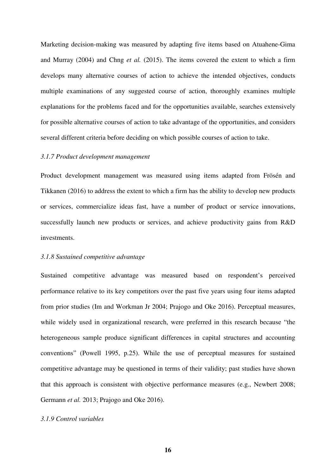Marketing decision-making was measured by adapting five items based on Atuahene-Gima and Murray (2004) and Chng *et al.* (2015). The items covered the extent to which a firm develops many alternative courses of action to achieve the intended objectives, conducts multiple examinations of any suggested course of action, thoroughly examines multiple explanations for the problems faced and for the opportunities available, searches extensively for possible alternative courses of action to take advantage of the opportunities, and considers several different criteria before deciding on which possible courses of action to take.

#### *3.1.7 Product development management*

Product development management was measured using items adapted from Frösén and Tikkanen (2016) to address the extent to which a firm has the ability to develop new products or services, commercialize ideas fast, have a number of product or service innovations, successfully launch new products or services, and achieve productivity gains from R&D investments.

## *3.1.8 Sustained competitive advantage*

Sustained competitive advantage was measured based on respondent's perceived performance relative to its key competitors over the past five years using four items adapted from prior studies (Im and Workman Jr 2004; Prajogo and Oke 2016). Perceptual measures, while widely used in organizational research, were preferred in this research because "the heterogeneous sample produce significant differences in capital structures and accounting conventions" (Powell 1995, p.25). While the use of perceptual measures for sustained competitive advantage may be questioned in terms of their validity; past studies have shown that this approach is consistent with objective performance measures (e.g., Newbert 2008; Germann *et al.* 2013; Prajogo and Oke 2016).

## *3.1.9 Control variables*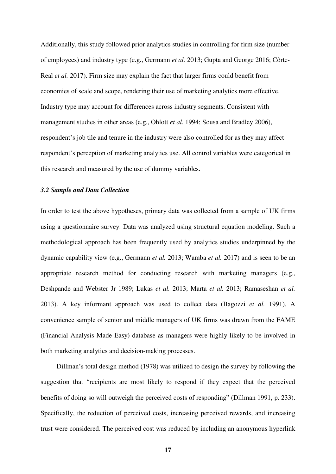Additionally, this study followed prior analytics studies in controlling for firm size (number of employees) and industry type (e.g., Germann *et al.* 2013; Gupta and George 2016; Côrte-Real *et al.* 2017). Firm size may explain the fact that larger firms could benefit from economies of scale and scope, rendering their use of marketing analytics more effective. Industry type may account for differences across industry segments. Consistent with management studies in other areas (e.g., Ohlott *et al.* 1994; Sousa and Bradley 2006), respondent's job tile and tenure in the industry were also controlled for as they may affect respondent's perception of marketing analytics use. All control variables were categorical in this research and measured by the use of dummy variables.

## *3.2 Sample and Data Collection*

In order to test the above hypotheses, primary data was collected from a sample of UK firms using a questionnaire survey. Data was analyzed using structural equation modeling. Such a methodological approach has been frequently used by analytics studies underpinned by the dynamic capability view (e.g., Germann *et al.* 2013; Wamba *et al.* 2017) and is seen to be an appropriate research method for conducting research with marketing managers (e.g., Deshpande and Webster Jr 1989; Lukas *et al.* 2013; Marta *et al.* 2013; Ramaseshan *et al.* 2013). A key informant approach was used to collect data (Bagozzi *et al.* 1991). A convenience sample of senior and middle managers of UK firms was drawn from the FAME (Financial Analysis Made Easy) database as managers were highly likely to be involved in both marketing analytics and decision-making processes.

Dillman's total design method (1978) was utilized to design the survey by following the suggestion that "recipients are most likely to respond if they expect that the perceived benefits of doing so will outweigh the perceived costs of responding" (Dillman 1991, p. 233). Specifically, the reduction of perceived costs, increasing perceived rewards, and increasing trust were considered. The perceived cost was reduced by including an anonymous hyperlink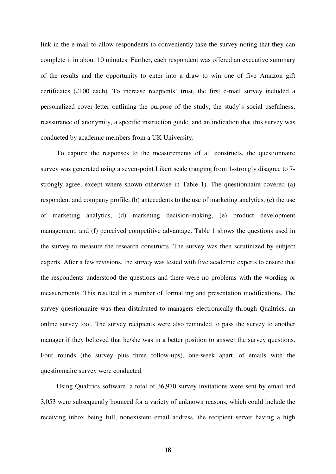link in the e-mail to allow respondents to conveniently take the survey noting that they can complete it in about 10 minutes. Further, each respondent was offered an executive summary of the results and the opportunity to enter into a draw to win one of five Amazon gift certificates (£100 each). To increase recipients' trust, the first e-mail survey included a personalized cover letter outlining the purpose of the study, the study's social usefulness, reassurance of anonymity, a specific instruction guide, and an indication that this survey was conducted by academic members from a UK University.

To capture the responses to the measurements of all constructs, the questionnaire survey was generated using a seven-point Likert scale (ranging from 1-strongly disagree to 7 strongly agree, except where shown otherwise in Table 1). The questionnaire covered (a) respondent and company profile, (b) antecedents to the use of marketing analytics, (c) the use of marketing analytics, (d) marketing decision-making, (e) product development management, and (f) perceived competitive advantage. Table 1 shows the questions used in the survey to measure the research constructs. The survey was then scrutinized by subject experts. After a few revisions, the survey was tested with five academic experts to ensure that the respondents understood the questions and there were no problems with the wording or measurements. This resulted in a number of formatting and presentation modifications. The survey questionnaire was then distributed to managers electronically through Qualtrics, an online survey tool. The survey recipients were also reminded to pass the survey to another manager if they believed that he/she was in a better position to answer the survey questions. Four rounds (the survey plus three follow-ups), one-week apart, of emails with the questionnaire survey were conducted.

Using Qualtrics software, a total of 36,970 survey invitations were sent by email and 3,053 were subsequently bounced for a variety of unknown reasons, which could include the receiving inbox being full, nonexistent email address, the recipient server having a high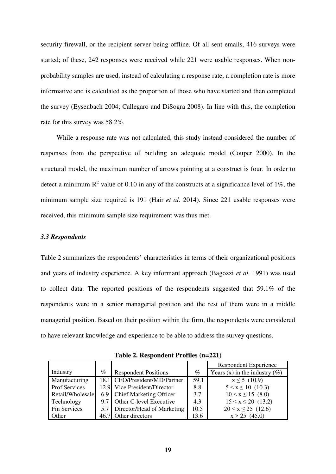security firewall, or the recipient server being offline. Of all sent emails, 416 surveys were started; of these, 242 responses were received while 221 were usable responses. When nonprobability samples are used, instead of calculating a response rate, a completion rate is more informative and is calculated as the proportion of those who have started and then completed the survey (Eysenbach 2004; Callegaro and DiSogra 2008). In line with this, the completion rate for this survey was 58.2%.

While a response rate was not calculated, this study instead considered the number of responses from the perspective of building an adequate model (Couper 2000). In the structural model, the maximum number of arrows pointing at a construct is four. In order to detect a minimum  $\mathbb{R}^2$  value of 0.10 in any of the constructs at a significance level of 1%, the minimum sample size required is 191 (Hair *et al.* 2014). Since 221 usable responses were received, this minimum sample size requirement was thus met.

#### *3.3 Respondents*

Table 2 summarizes the respondents' characteristics in terms of their organizational positions and years of industry experience. A key informant approach (Bagozzi *et al.* 1991) was used to collect data. The reported positions of the respondents suggested that 59.1% of the respondents were in a senior managerial position and the rest of them were in a middle managerial position. Based on their position within the firm, the respondents were considered to have relevant knowledge and experience to be able to address the survey questions.

|                  |      |                                |      | <b>Respondent Experience</b>     |
|------------------|------|--------------------------------|------|----------------------------------|
| Industry         | $\%$ | <b>Respondent Positions</b>    | $\%$ | Years (x) in the industry $(\%)$ |
| Manufacturing    |      | 18.1 CEO/President/MD/Partner  | 59.1 | $x \le 5$ (10.9)                 |
| Prof Services    |      | 12.9 Vice President/Director   | 8.8  | $5 < x \le 10$ (10.3)            |
| Retail/Wholesale |      | 6.9 Chief Marketing Officer    | 3.7  | $10 < x \le 15$ (8.0)            |
| Technology       |      | 9.7 Other C-level Executive    | 4.3  | $15 < x \le 20$ (13.2)           |
| Fin Services     |      | 5.7 Director/Head of Marketing | 10.5 | $20 \le x \le 25$ (12.6)         |
| Other            |      | 46.7 Other directors           | 13.6 | $x > 25$ (45.0)                  |

**Table 2. Respondent Profiles (n=221)**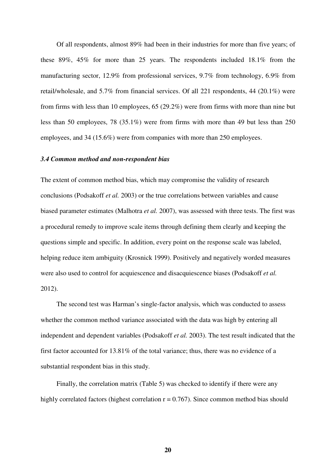Of all respondents, almost 89% had been in their industries for more than five years; of these 89%, 45% for more than 25 years. The respondents included 18.1% from the manufacturing sector, 12.9% from professional services, 9.7% from technology, 6.9% from retail/wholesale, and 5.7% from financial services. Of all 221 respondents, 44 (20.1%) were from firms with less than 10 employees, 65 (29.2%) were from firms with more than nine but less than 50 employees, 78 (35.1%) were from firms with more than 49 but less than 250 employees, and 34 (15.6%) were from companies with more than 250 employees.

#### *3.4 Common method and non-respondent bias*

The extent of common method bias, which may compromise the validity of research conclusions (Podsakoff *et al.* 2003) or the true correlations between variables and cause biased parameter estimates (Malhotra *et al.* 2007), was assessed with three tests. The first was a procedural remedy to improve scale items through defining them clearly and keeping the questions simple and specific. In addition, every point on the response scale was labeled, helping reduce item ambiguity (Krosnick 1999). Positively and negatively worded measures were also used to control for acquiescence and disacquiescence biases (Podsakoff *et al.* 2012).

The second test was Harman's single-factor analysis, which was conducted to assess whether the common method variance associated with the data was high by entering all independent and dependent variables (Podsakoff *et al.* 2003). The test result indicated that the first factor accounted for 13.81% of the total variance; thus, there was no evidence of a substantial respondent bias in this study.

Finally, the correlation matrix (Table 5) was checked to identify if there were any highly correlated factors (highest correlation  $r = 0.767$ ). Since common method bias should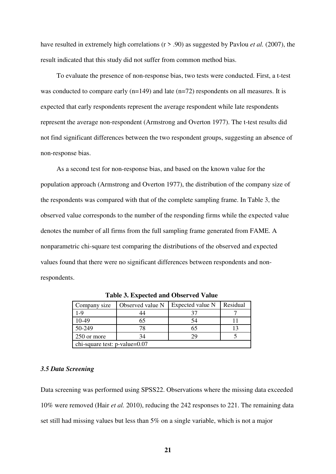have resulted in extremely high correlations (r > .90) as suggested by Pavlou *et al.* (2007), the result indicated that this study did not suffer from common method bias.

To evaluate the presence of non-response bias, two tests were conducted. First, a t-test was conducted to compare early (n=149) and late (n=72) respondents on all measures. It is expected that early respondents represent the average respondent while late respondents represent the average non-respondent (Armstrong and Overton 1977). The t-test results did not find significant differences between the two respondent groups, suggesting an absence of non-response bias.

As a second test for non-response bias, and based on the known value for the population approach (Armstrong and Overton 1977), the distribution of the company size of the respondents was compared with that of the complete sampling frame. In Table 3, the observed value corresponds to the number of the responding firms while the expected value denotes the number of all firms from the full sampling frame generated from FAME. A nonparametric chi-square test comparing the distributions of the observed and expected values found that there were no significant differences between respondents and nonrespondents.

| Company size                  | Observed value N | Expected value N | Residual |  |  |
|-------------------------------|------------------|------------------|----------|--|--|
| 1-9                           |                  |                  |          |  |  |
| 10-49                         |                  | 54               |          |  |  |
| 50-249                        |                  |                  |          |  |  |
| 250 or more                   |                  |                  |          |  |  |
| chi-square test: p-value=0.07 |                  |                  |          |  |  |

**Table 3. Expected and Observed Value**

#### *3.5 Data Screening*

Data screening was performed using SPSS22. Observations where the missing data exceeded 10% were removed (Hair *et al.* 2010), reducing the 242 responses to 221. The remaining data set still had missing values but less than 5% on a single variable, which is not a major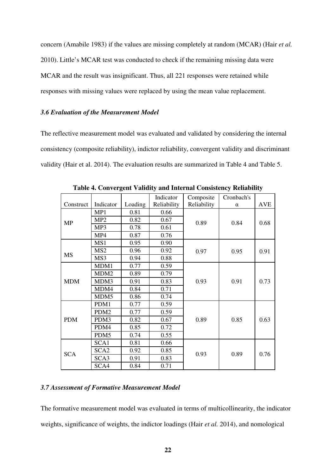concern (Amabile 1983) if the values are missing completely at random (MCAR) (Hair *et al.* 2010). Little's MCAR test was conducted to check if the remaining missing data were MCAR and the result was insignificant. Thus, all 221 responses were retained while responses with missing values were replaced by using the mean value replacement.

## *3.6 Evaluation of the Measurement Model*

The reflective measurement model was evaluated and validated by considering the internal consistency (composite reliability), indictor reliability, convergent validity and discriminant validity (Hair et al. 2014). The evaluation results are summarized in Table 4 and Table 5.

|            |                  |         | Indicator   | Composite   | Cronbach's |            |
|------------|------------------|---------|-------------|-------------|------------|------------|
| Construct  | Indicator        | Loading | Reliability | Reliability | $\alpha$   | <b>AVE</b> |
|            | MP1              | 0.81    | 0.66        |             | 0.84       | 0.68       |
| <b>MP</b>  | MP <sub>2</sub>  | 0.82    | 0.67        | 0.89        |            |            |
|            | MP3              | 0.78    | 0.61        |             |            |            |
|            | MP4              | 0.87    | 0.76        |             |            |            |
|            | MS1              | 0.95    | 0.90        |             |            |            |
|            | MS <sub>2</sub>  | 0.96    | 0.92        | 0.97        | 0.95       | 0.91       |
| <b>MS</b>  | MS3              | 0.94    | 0.88        |             |            |            |
|            | MDM1             | 0.77    | 0.59        |             | 0.91       | 0.73       |
|            | MDM <sub>2</sub> | 0.89    | 0.79        |             |            |            |
| <b>MDM</b> | MDM3             | 0.91    | 0.83        | 0.93        |            |            |
|            | MDM4             | 0.84    | 0.71        |             |            |            |
|            | MDM5             | 0.86    | 0.74        |             |            |            |
|            | PDM1             | 0.77    | 0.59        |             |            |            |
|            | PDM <sub>2</sub> | 0.77    | 0.59        |             | 0.85       | 0.63       |
| <b>PDM</b> | PDM3             | 0.82    | 0.67        | 0.89        |            |            |
|            | PDM4             | 0.85    | 0.72        |             |            |            |
|            | PDM5             | 0.74    | 0.55        |             |            |            |
| <b>SCA</b> | SCA1             | 0.81    | 0.66        |             | 0.89       |            |
|            | SCA <sub>2</sub> | 0.92    | 0.85        |             |            | 0.76       |
|            | SCA3             | 0.91    | 0.83        | 0.93        |            |            |
|            | SCA4             | 0.84    | 0.71        |             |            |            |

**Table 4. Convergent Validity and Internal Consistency Reliability** 

## *3.7 Assessment of Formative Measurement Model*

The formative measurement model was evaluated in terms of multicollinearity, the indicator weights, significance of weights, the indictor loadings (Hair *et al.* 2014), and nomological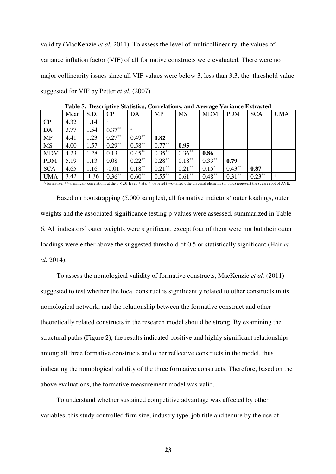validity (MacKenzie *et al.* 2011). To assess the level of multicollinearity, the values of variance inflation factor (VIF) of all formative constructs were evaluated. There were no major collinearity issues since all VIF values were below 3, less than 3.3, the threshold value suggested for VIF by Petter *et al.* (2007).

| Mean |      |           |           |           |           |            |            |            |            |
|------|------|-----------|-----------|-----------|-----------|------------|------------|------------|------------|
|      | S.D. | CP        | DA        | <b>MP</b> | <b>MS</b> | <b>MDM</b> | <b>PDM</b> | <b>SCA</b> | <b>UMA</b> |
| 4.32 | 1.14 |           |           |           |           |            |            |            |            |
| 3.77 | 1.54 | $0.37**$  | #         |           |           |            |            |            |            |
| 4.41 | 1.23 | $0.27***$ | $0.49***$ | 0.82      |           |            |            |            |            |
| 4.00 | 1.57 | $0.29***$ | $0.58**$  | $0.77***$ | 0.95      |            |            |            |            |
| 4.23 | 1.28 | 0.13      |           |           | $0.36***$ | 0.86       |            |            |            |
| 5.19 | 1.13 | 0.08      | $0.22**$  | $0.28***$ | $0.18***$ | $0.33***$  | 0.79       |            |            |
| 4.65 | 1.16 | $-0.01$   | $0.18***$ | $0.21***$ | $0.21***$ | $0.15*$    | $0.43***$  | 0.87       |            |
| 3.42 | 1.36 | $0.36***$ | $0.60**$  | $0.55***$ | $0.61**$  | $0.48***$  | $0.31***$  | $0.23***$  | #          |
|      |      |           |           | $0.45***$ | $0.35***$ |            |            |            |            |

**Table 5. Descriptive Statistics, Correlations, and Average Variance Extracted** 

# **-** formative; \*\*-significant correlations at the p < .01 level, \* at p < .05 level (two-tailed); the diagonal elements (in bold) represent the square root of AVE.

Based on bootstrapping (5,000 samples), all formative indictors' outer loadings, outer weights and the associated significance testing p-values were assessed, summarized in Table 6. All indicators' outer weights were significant, except four of them were not but their outer loadings were either above the suggested threshold of 0.5 or statistically significant (Hair *et al.* 2014).

To assess the nomological validity of formative constructs, MacKenzie *et al.* (2011) suggested to test whether the focal construct is significantly related to other constructs in its nomological network, and the relationship between the formative construct and other theoretically related constructs in the research model should be strong. By examining the structural paths (Figure 2), the results indicated positive and highly significant relationships among all three formative constructs and other reflective constructs in the model, thus indicating the nomological validity of the three formative constructs. Therefore, based on the above evaluations, the formative measurement model was valid.

To understand whether sustained competitive advantage was affected by other variables, this study controlled firm size, industry type, job title and tenure by the use of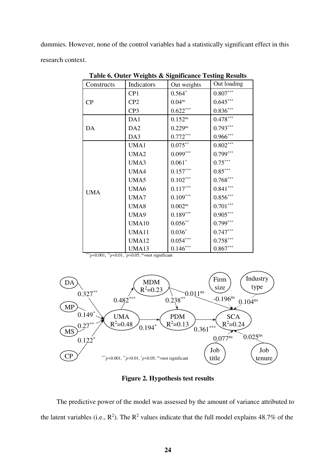dummies. However, none of the control variables had a statistically significant effect in this research context.

| Constructs | Indicators       | 0<br>Out weights       | $\overline{\phantom{a}}$<br>Out loading |
|------------|------------------|------------------------|-----------------------------------------|
|            | CP1              | $0.564*$               | $0.807***$                              |
| CP         | CP <sub>2</sub>  | 0.04 <sup>ns</sup>     | $0.645***$                              |
|            | CP <sub>3</sub>  | $0.622***$             | $0.836***$                              |
|            | DA1              | $0.152^{ns}$           | $0.478***$                              |
| DA         | DA <sub>2</sub>  | $0.229^{ns}$           | $0.793***$                              |
|            | DA3              | $0.772***$             | $0.966***$                              |
|            | UMA1             | $0.075^{\ast\ast}$     | $0.802***$                              |
|            | UMA <sub>2</sub> | $0.099***$             | $0.799***$                              |
|            | UMA3             | $0.061*$               | $0.75***$                               |
|            | UMA4             | $0.157***$             | $0.85***$                               |
|            | UMA5             | $0.102***$             | $0.768***$                              |
| <b>UMA</b> | UMA6             | $0.117^{\ast\ast\ast}$ | $0.841***$                              |
|            | UMA7             | $0.109***$             | $0.856***$                              |
|            | UMA8             | $0.002$ <sup>ns</sup>  | $0.701***$                              |
|            | UMA9             | $0.189***$             | $0.905***$                              |
|            | <b>UMA10</b>     | $0.056^{\ast\ast}$     | $0.799***$                              |
|            | UMA11            | $0.036*$               | $0.747***$                              |
|            | <b>UMA12</b>     | $0.054***$             | $0.758***$                              |
|            | UMA13            | $0.146***$             | $0.867***$                              |

**Table 6. Outer Weights & Significance Testing Results**

 $*_{p}$ <0.001,  $*_{p}$ <0.01,  $*_{p}$ <0.05, <sup>ns</sup>=not significant



**Figure 2. Hypothesis test results**

The predictive power of the model was assessed by the amount of variance attributed to the latent variables (i.e.,  $\mathbb{R}^2$ ). The  $\mathbb{R}^2$  values indicate that the full model explains 48.7% of the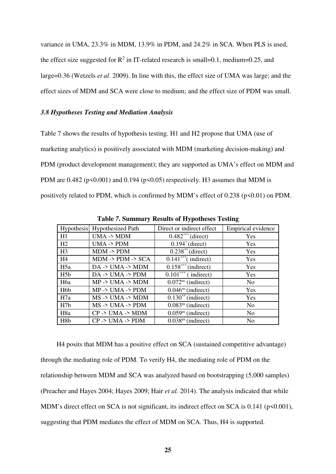variance in UMA, 23.3% in MDM, 13.9% in PDM, and 24.2% in SCA. When PLS is used, the effect size suggested for  $\mathbb{R}^2$  in IT-related research is small=0.1, medium=0.25, and large=0.36 (Wetzels *et al.* 2009). In line with this, the effect size of UMA was large; and the effect sizes of MDM and SCA were close to medium; and the effect size of PDM was small.

## *3.8 Hypotheses Testing and Mediation Analysis*

Table 7 shows the results of hypothesis testing. H1 and H2 propose that UMA (use of marketing analytics) is positively associated with MDM (marketing decision-making) and PDM (product development management); they are supported as UMA's effect on MDM and PDM are  $0.482$  (p<0.001) and  $0.194$  (p<0.05) respectively. H3 assumes that MDM is positively related to PDM, which is confirmed by MDM's effect of  $0.238$  ( $p \le 0.01$ ) on PDM.

| Table 7. Dunmary Results of Hypotheses Testing |                                       |                                     |                    |  |  |  |
|------------------------------------------------|---------------------------------------|-------------------------------------|--------------------|--|--|--|
|                                                | Hypothesis Hypothesized Path          | Direct or indirect effect           | Empirical evidence |  |  |  |
| H1                                             | $UMA \rightarrow MDM$                 | $0.482***$ (direct)                 | Yes                |  |  |  |
| H2                                             | $UMA \rightarrow PDM$                 | $0.194^*$ (direct)                  | Yes                |  |  |  |
| H <sub>3</sub>                                 | $MDM \rightarrow PDM$                 | $0.238^{**}$ (direct)               | Yes                |  |  |  |
| H4                                             | $MDM \rightarrow PDM \rightarrow SCA$ | $0.141***$ (indirect)               | Yes                |  |  |  |
| H5a                                            | $DA \rightarrow UMA \rightarrow MDM$  | $0.158***$ (indirect)               | Yes                |  |  |  |
| H <sub>5</sub> b                               | $DA \rightarrow UMA \rightarrow PDM$  | $\overline{0.101^{***}}$ (indirect) | Yes                |  |  |  |
| H <sub>6</sub> a                               | $MP$ -> $UMA$ -> $MDM$                | $0.072ns$ (indirect)                | N <sub>0</sub>     |  |  |  |
| H <sub>6</sub> b                               | $MP \rightarrow UMA \rightarrow PDM$  | $0.046ns$ (indirect)                | Yes                |  |  |  |
| H7a                                            | $MS \rightarrow UMA \rightarrow MDM$  | $0.130^{**}$ (indirect)             | Yes                |  |  |  |
| H <sub>7b</sub>                                | $MS \rightarrow UMA \rightarrow PDM$  | $0.083ns$ (indirect)                | N <sub>0</sub>     |  |  |  |
| H <sub>8</sub> a                               | $CP \rightarrow UMA \rightarrow MDM$  | $0.059ns$ (indirect)                | N <sub>0</sub>     |  |  |  |
| H <sub>8</sub> b                               | $CP \rightarrow UMA \rightarrow PDM$  | $0.038ns$ (indirect)                | N <sub>0</sub>     |  |  |  |

**Table** *7***. Summary Results of Hypotheses Testing**

H4 posits that MDM has a positive effect on SCA (sustained competitive advantage) through the mediating role of PDM. To verify H4, the mediating role of PDM on the relationship between MDM and SCA was analyzed based on bootstrapping (5,000 samples) (Preacher and Hayes 2004; Hayes 2009; Hair *et al.* 2014). The analysis indicated that while MDM's direct effect on SCA is not significant, its indirect effect on SCA is 0.141 (p<0.001), suggesting that PDM mediates the effect of MDM on SCA. Thus, H4 is supported.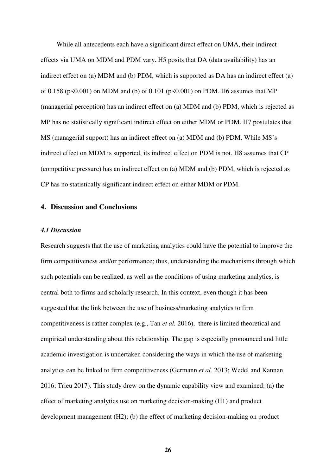While all antecedents each have a significant direct effect on UMA, their indirect effects via UMA on MDM and PDM vary. H5 posits that DA (data availability) has an indirect effect on (a) MDM and (b) PDM, which is supported as DA has an indirect effect (a) of 0.158 ( $p \le 0.001$ ) on MDM and (b) of 0.101 ( $p \le 0.001$ ) on PDM. H6 assumes that MP (managerial perception) has an indirect effect on (a) MDM and (b) PDM, which is rejected as MP has no statistically significant indirect effect on either MDM or PDM. H7 postulates that MS (managerial support) has an indirect effect on (a) MDM and (b) PDM. While MS's indirect effect on MDM is supported, its indirect effect on PDM is not. H8 assumes that CP (competitive pressure) has an indirect effect on (a) MDM and (b) PDM, which is rejected as CP has no statistically significant indirect effect on either MDM or PDM.

## **4. Discussion and Conclusions**

#### *4.1 Discussion*

Research suggests that the use of marketing analytics could have the potential to improve the firm competitiveness and/or performance; thus, understanding the mechanisms through which such potentials can be realized, as well as the conditions of using marketing analytics, is central both to firms and scholarly research. In this context, even though it has been suggested that the link between the use of business/marketing analytics to firm competitiveness is rather complex (e.g., Tan *et al.* 2016), there is limited theoretical and empirical understanding about this relationship. The gap is especially pronounced and little academic investigation is undertaken considering the ways in which the use of marketing analytics can be linked to firm competitiveness (Germann *et al.* 2013; Wedel and Kannan 2016; Trieu 2017). This study drew on the dynamic capability view and examined: (a) the effect of marketing analytics use on marketing decision-making (H1) and product development management (H2); (b) the effect of marketing decision-making on product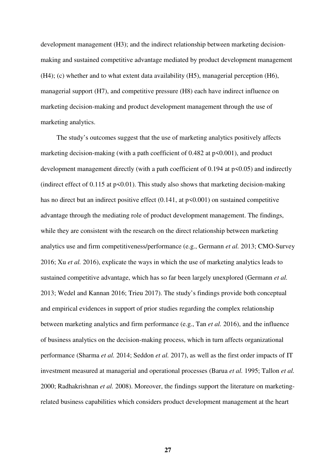development management (H3); and the indirect relationship between marketing decisionmaking and sustained competitive advantage mediated by product development management (H4); (c) whether and to what extent data availability (H5), managerial perception (H6), managerial support (H7), and competitive pressure (H8) each have indirect influence on marketing decision-making and product development management through the use of marketing analytics.

The study's outcomes suggest that the use of marketing analytics positively affects marketing decision-making (with a path coefficient of  $0.482$  at  $p \le 0.001$ ), and product development management directly (with a path coefficient of 0.194 at p<0.05) and indirectly (indirect effect of  $0.115$  at  $p<0.01$ ). This study also shows that marketing decision-making has no direct but an indirect positive effect  $(0.141, at p \le 0.001)$  on sustained competitive advantage through the mediating role of product development management. The findings, while they are consistent with the research on the direct relationship between marketing analytics use and firm competitiveness/performance (e.g., Germann *et al.* 2013; CMO-Survey 2016; Xu *et al.* 2016), explicate the ways in which the use of marketing analytics leads to sustained competitive advantage, which has so far been largely unexplored (Germann *et al.* 2013; Wedel and Kannan 2016; Trieu 2017). The study's findings provide both conceptual and empirical evidences in support of prior studies regarding the complex relationship between marketing analytics and firm performance (e.g., Tan *et al.* 2016), and the influence of business analytics on the decision-making process, which in turn affects organizational performance (Sharma *et al.* 2014; Seddon *et al.* 2017), as well as the first order impacts of IT investment measured at managerial and operational processes (Barua *et al.* 1995; Tallon *et al.* 2000; Radhakrishnan *et al.* 2008). Moreover, the findings support the literature on marketingrelated business capabilities which considers product development management at the heart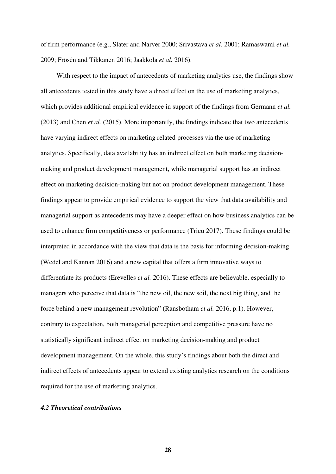of firm performance (e.g., Slater and Narver 2000; Srivastava *et al.* 2001; Ramaswami *et al.* 2009; Frösén and Tikkanen 2016; Jaakkola *et al.* 2016).

With respect to the impact of antecedents of marketing analytics use, the findings show all antecedents tested in this study have a direct effect on the use of marketing analytics, which provides additional empirical evidence in support of the findings from Germann *et al.* (2013) and Chen *et al.* (2015). More importantly, the findings indicate that two antecedents have varying indirect effects on marketing related processes via the use of marketing analytics. Specifically, data availability has an indirect effect on both marketing decisionmaking and product development management, while managerial support has an indirect effect on marketing decision-making but not on product development management. These findings appear to provide empirical evidence to support the view that data availability and managerial support as antecedents may have a deeper effect on how business analytics can be used to enhance firm competitiveness or performance (Trieu 2017). These findings could be interpreted in accordance with the view that data is the basis for informing decision-making (Wedel and Kannan 2016) and a new capital that offers a firm innovative ways to differentiate its products (Erevelles *et al.* 2016). These effects are believable, especially to managers who perceive that data is "the new oil, the new soil, the next big thing, and the force behind a new management revolution" (Ransbotham *et al.* 2016, p.1). However, contrary to expectation, both managerial perception and competitive pressure have no statistically significant indirect effect on marketing decision-making and product development management. On the whole, this study's findings about both the direct and indirect effects of antecedents appear to extend existing analytics research on the conditions required for the use of marketing analytics.

## *4.2 Theoretical contributions*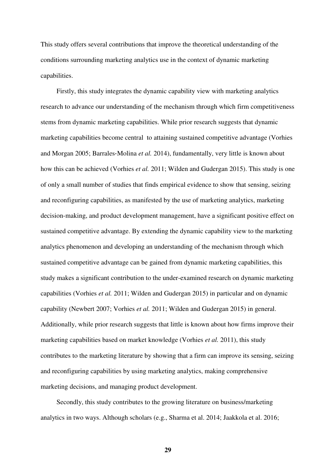This study offers several contributions that improve the theoretical understanding of the conditions surrounding marketing analytics use in the context of dynamic marketing capabilities.

Firstly, this study integrates the dynamic capability view with marketing analytics research to advance our understanding of the mechanism through which firm competitiveness stems from dynamic marketing capabilities. While prior research suggests that dynamic marketing capabilities become central to attaining sustained competitive advantage (Vorhies and Morgan 2005; Barrales‐Molina *et al.* 2014), fundamentally, very little is known about how this can be achieved (Vorhies *et al.* 2011; Wilden and Gudergan 2015). This study is one of only a small number of studies that finds empirical evidence to show that sensing, seizing and reconfiguring capabilities, as manifested by the use of marketing analytics, marketing decision-making, and product development management, have a significant positive effect on sustained competitive advantage. By extending the dynamic capability view to the marketing analytics phenomenon and developing an understanding of the mechanism through which sustained competitive advantage can be gained from dynamic marketing capabilities, this study makes a significant contribution to the under-examined research on dynamic marketing capabilities (Vorhies *et al.* 2011; Wilden and Gudergan 2015) in particular and on dynamic capability (Newbert 2007; Vorhies *et al.* 2011; Wilden and Gudergan 2015) in general. Additionally, while prior research suggests that little is known about how firms improve their marketing capabilities based on market knowledge (Vorhies *et al.* 2011), this study contributes to the marketing literature by showing that a firm can improve its sensing, seizing and reconfiguring capabilities by using marketing analytics, making comprehensive marketing decisions, and managing product development.

Secondly, this study contributes to the growing literature on business/marketing analytics in two ways. Although scholars (e.g., Sharma et al. 2014; Jaakkola et al. 2016;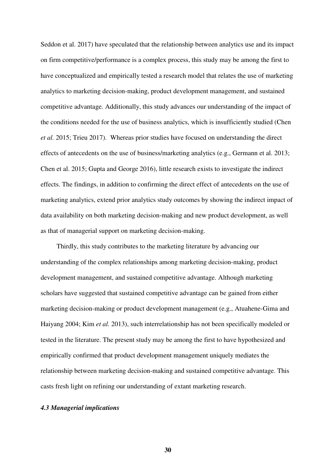Seddon et al. 2017) have speculated that the relationship between analytics use and its impact on firm competitive/performance is a complex process, this study may be among the first to have conceptualized and empirically tested a research model that relates the use of marketing analytics to marketing decision-making, product development management, and sustained competitive advantage. Additionally, this study advances our understanding of the impact of the conditions needed for the use of business analytics, which is insufficiently studied (Chen *et al.* 2015; Trieu 2017). Whereas prior studies have focused on understanding the direct effects of antecedents on the use of business/marketing analytics (e.g., Germann et al. 2013; Chen et al. 2015; Gupta and George 2016), little research exists to investigate the indirect effects. The findings, in addition to confirming the direct effect of antecedents on the use of marketing analytics, extend prior analytics study outcomes by showing the indirect impact of data availability on both marketing decision-making and new product development, as well as that of managerial support on marketing decision-making.

Thirdly, this study contributes to the marketing literature by advancing our understanding of the complex relationships among marketing decision-making, product development management, and sustained competitive advantage. Although marketing scholars have suggested that sustained competitive advantage can be gained from either marketing decision-making or product development management (e.g., Atuahene-Gima and Haiyang 2004; Kim *et al.* 2013), such interrelationship has not been specifically modeled or tested in the literature. The present study may be among the first to have hypothesized and empirically confirmed that product development management uniquely mediates the relationship between marketing decision-making and sustained competitive advantage. This casts fresh light on refining our understanding of extant marketing research.

#### *4.3 Managerial implications*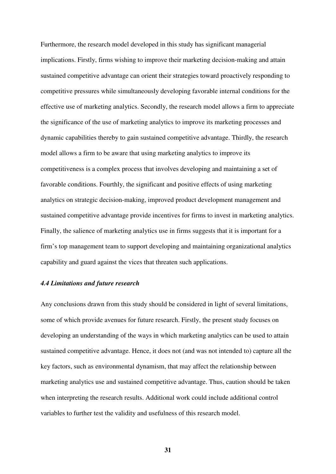Furthermore, the research model developed in this study has significant managerial implications. Firstly, firms wishing to improve their marketing decision-making and attain sustained competitive advantage can orient their strategies toward proactively responding to competitive pressures while simultaneously developing favorable internal conditions for the effective use of marketing analytics. Secondly, the research model allows a firm to appreciate the significance of the use of marketing analytics to improve its marketing processes and dynamic capabilities thereby to gain sustained competitive advantage. Thirdly, the research model allows a firm to be aware that using marketing analytics to improve its competitiveness is a complex process that involves developing and maintaining a set of favorable conditions. Fourthly, the significant and positive effects of using marketing analytics on strategic decision-making, improved product development management and sustained competitive advantage provide incentives for firms to invest in marketing analytics. Finally, the salience of marketing analytics use in firms suggests that it is important for a firm's top management team to support developing and maintaining organizational analytics capability and guard against the vices that threaten such applications.

## *4.4 Limitations and future research*

Any conclusions drawn from this study should be considered in light of several limitations, some of which provide avenues for future research. Firstly, the present study focuses on developing an understanding of the ways in which marketing analytics can be used to attain sustained competitive advantage. Hence, it does not (and was not intended to) capture all the key factors, such as environmental dynamism, that may affect the relationship between marketing analytics use and sustained competitive advantage. Thus, caution should be taken when interpreting the research results. Additional work could include additional control variables to further test the validity and usefulness of this research model.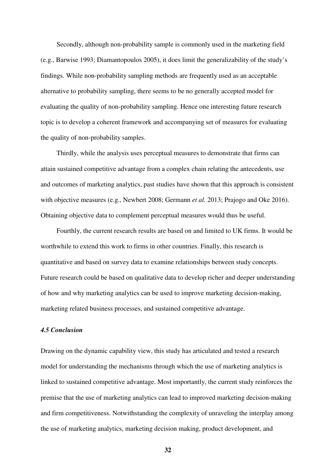Secondly, although non-probability sample is commonly used in the marketing field (e.g., Barwise 1993; Diamantopoulos 2005), it does limit the generalizability of the study's findings. While non-probability sampling methods are frequently used as an acceptable alternative to probability sampling, there seems to be no generally accepted model for evaluating the quality of non-probability sampling. Hence one interesting future research topic is to develop a coherent framework and accompanying set of measures for evaluating the quality of non-probability samples.

Thirdly, while the analysis uses perceptual measures to demonstrate that firms can attain sustained competitive advantage from a complex chain relating the antecedents, use and outcomes of marketing analytics, past studies have shown that this approach is consistent with objective measures (e.g., Newbert 2008; Germann *et al.* 2013; Prajogo and Oke 2016). Obtaining objective data to complement perceptual measures would thus be useful.

Fourthly, the current research results are based on and limited to UK firms. It would be worthwhile to extend this work to firms in other countries. Finally, this research is quantitative and based on survey data to examine relationships between study concepts. Future research could be based on qualitative data to develop richer and deeper understanding of how and why marketing analytics can be used to improve marketing decision-making, marketing related business processes, and sustained competitive advantage.

## *4.5 Conclusion*

Drawing on the dynamic capability view, this study has articulated and tested a research model for understanding the mechanisms through which the use of marketing analytics is linked to sustained competitive advantage. Most importantly, the current study reinforces the premise that the use of marketing analytics can lead to improved marketing decision-making and firm competitiveness. Notwithstanding the complexity of unraveling the interplay among the use of marketing analytics, marketing decision making, product development, and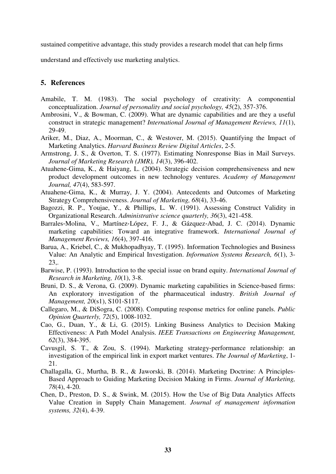sustained competitive advantage, this study provides a research model that can help firms

understand and effectively use marketing analytics.

## **5. References**

- Amabile, T. M. (1983). The social psychology of creativity: A componential conceptualization. *Journal of personality and social psychology, 45*(2), 357-376.
- Ambrosini, V., & Bowman, C. (2009). What are dynamic capabilities and are they a useful construct in strategic management? *International Journal of Management Reviews, 11*(1), 29-49.
- Ariker, M., Diaz, A., Moorman, C., & Westover, M. (2015). Quantifying the Impact of Marketing Analytics. *Harvard Business Review Digital Articles*, 2-5.
- Armstrong, J. S., & Overton, T. S. (1977). Estimating Nonresponse Bias in Mail Surveys. *Journal of Marketing Research (JMR), 14*(3), 396-402.
- Atuahene-Gima, K., & Haiyang, L. (2004). Strategic decision comprehensiveness and new product development outcomes in new technology ventures. *Academy of Management Journal, 47*(4), 583-597.
- Atuahene-Gima, K., & Murray, J. Y. (2004). Antecedents and Outcomes of Marketing Strategy Comprehensiveness. *Journal of Marketing, 68*(4), 33-46.
- Bagozzi, R. P., Youjae, Y., & Phillips, L. W. (1991). Assessing Construct Validity in Organizational Research. *Administrative science quarterly, 36*(3), 421-458.
- Barrales‐Molina, V., Martínez‐López, F. J., & Gázquez‐Abad, J. C. (2014). Dynamic marketing capabilities: Toward an integrative framework. *International Journal of Management Reviews, 16*(4), 397-416.
- Barua, A., Kriebel, C., & Mukhopadhyay, T. (1995). Information Technologies and Business Value: An Analytic and Empirical Investigation. *Information Systems Research, 6*(1), 3- 23,.
- Barwise, P. (1993). Introduction to the special issue on brand equity. *International Journal of Research in Marketing, 10*(1), 3-8.
- Bruni, D. S., & Verona, G. (2009). Dynamic marketing capabilities in Science-based firms: An exploratory investigation of the pharmaceutical industry. *British Journal of Management, 20*(s1), S101-S117.
- Callegaro, M., & DiSogra, C. (2008). Computing response metrics for online panels. *Public Opinion Quarterly, 72*(5), 1008-1032.
- Cao, G., Duan, Y., & Li, G. (2015). Linking Business Analytics to Decision Making Effectiveness: A Path Model Analysis. *IEEE Transactions on Engineering Management, 62*(3), 384-395.
- Cavusgil, S. T., & Zou, S. (1994). Marketing strategy-performance relationship: an investigation of the empirical link in export market ventures. *The Journal of Marketing*, 1- 21.
- Challagalla, G., Murtha, B. R., & Jaworski, B. (2014). Marketing Doctrine: A Principles-Based Approach to Guiding Marketing Decision Making in Firms. *Journal of Marketing, 78*(4), 4-20.
- Chen, D., Preston, D. S., & Swink, M. (2015). How the Use of Big Data Analytics Affects Value Creation in Supply Chain Management. *Journal of management information systems, 32*(4), 4-39.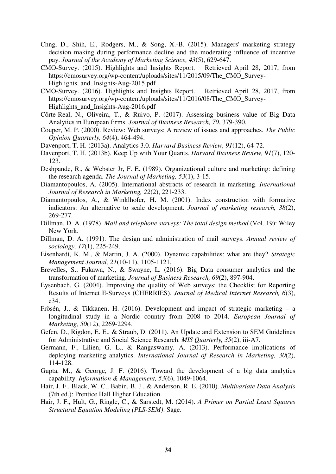- Chng, D., Shih, E., Rodgers, M., & Song, X.-B. (2015). Managers' marketing strategy decision making during performance decline and the moderating influence of incentive pay. *Journal of the Academy of Marketing Science, 43*(5), 629-647.
- CMO-Survey. (2015). Highlights and Insights Report. Retrieved April 28, 2017, from https://cmosurvey.org/wp-content/uploads/sites/11/2015/09/The\_CMO\_Survey-Highlights and Insights-Aug-2015.pdf
- CMO-Survey. (2016). Highlights and Insights Report. Retrieved April 28, 2017, from https://cmosurvey.org/wp-content/uploads/sites/11/2016/08/The\_CMO\_Survey-Highlights\_and\_Insights-Aug-2016.pdf
- Côrte-Real, N., Oliveira, T., & Ruivo, P. (2017). Assessing business value of Big Data Analytics in European firms. *Journal of Business Research, 70*, 379-390.
- Couper, M. P. (2000). Review: Web surveys: A review of issues and approaches. *The Public Opinion Quarterly, 64*(4), 464-494.
- Davenport, T. H. (2013a). Analytics 3.0. *Harvard Business Review, 91*(12), 64-72.
- Davenport, T. H. (2013b). Keep Up with Your Quants. *Harvard Business Review, 91*(7), 120- 123.
- Deshpande, R., & Webster Jr, F. E. (1989). Organizational culture and marketing: defining the research agenda. *The Journal of Marketing, 53*(1), 3-15.
- Diamantopoulos, A. (2005). International abstracts of research in marketing. *International Journal of Research in Marketing, 22*(2), 221-233.
- Diamantopoulos, A., & Winklhofer, H. M. (2001). Index construction with formative indicators: An alternative to scale development. *Journal of marketing research, 38*(2), 269-277.
- Dillman, D. A. (1978). *Mail and telephone surveys: The total design method* (Vol. 19): Wiley New York.
- Dillman, D. A. (1991). The design and administration of mail surveys. *Annual review of sociology, 17*(1), 225-249.
- Eisenhardt, K. M., & Martin, J. A. (2000). Dynamic capabilities: what are they? *Strategic Management Journal, 21*(10-11), 1105-1121.
- Erevelles, S., Fukawa, N., & Swayne, L. (2016). Big Data consumer analytics and the transformation of marketing. *Journal of Business Research, 69*(2), 897-904.
- Eysenbach, G. (2004). Improving the quality of Web surveys: the Checklist for Reporting Results of Internet E-Surveys (CHERRIES). *Journal of Medical Internet Research, 6*(3), e34.
- Frösén, J., & Tikkanen, H. (2016). Development and impact of strategic marketing a longitudinal study in a Nordic country from 2008 to 2014. *European Journal of Marketing, 50*(12), 2269-2294.
- Gefen, D., Rigdon, E. E., & Straub, D. (2011). An Update and Extension to SEM Guidelines for Administrative and Social Science Research. *MIS Quarterly, 35*(2), iii-A7.
- Germann, F., Lilien, G. L., & Rangaswamy, A. (2013). Performance implications of deploying marketing analytics. *International Journal of Research in Marketing, 30*(2), 114-128.
- Gupta, M., & George, J. F. (2016). Toward the development of a big data analytics capability. *Information & Management, 53*(6), 1049-1064.
- Hair, J. F., Black, W. C., Babin, B. J., & Anderson, R. E. (2010). *Multivariate Data Analysis* (7th ed.): Prentice Hall Higher Education.
- Hair, J. F., Hult, G., Ringle, C., & Sarstedt, M. (2014). *A Primer on Partial Least Squares Structural Equation Modeling (PLS-SEM)*: Sage.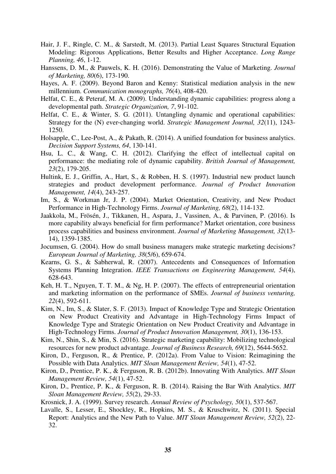- Hair, J. F., Ringle, C. M., & Sarstedt, M. (2013). Partial Least Squares Structural Equation Modeling: Rigorous Applications, Better Results and Higher Acceptance. *Long Range Planning, 46*, 1-12.
- Hanssens, D. M., & Pauwels, K. H. (2016). Demonstrating the Value of Marketing. *Journal of Marketing, 80*(6), 173-190.
- Hayes, A. F. (2009). Beyond Baron and Kenny: Statistical mediation analysis in the new millennium. *Communication monographs, 76*(4), 408-420.
- Helfat, C. E., & Peteraf, M. A. (2009). Understanding dynamic capabilities: progress along a developmental path. *Strategic Organization, 7*, 91-102.
- Helfat, C. E., & Winter, S. G. (2011). Untangling dynamic and operational capabilities: Strategy for the (N) ever-changing world. *Strategic Management Journal*, 32(11), 1243-1250.
- Holsapple, C., Lee-Post, A., & Pakath, R. (2014). A unified foundation for business analytics. *Decision Support Systems, 64*, 130-141.
- Hsu, L. C., & Wang, C. H. (2012). Clarifying the effect of intellectual capital on performance: the mediating role of dynamic capability. *British Journal of Management, 23*(2), 179-205.
- Hultink, E. J., Griffin, A., Hart, S., & Robben, H. S. (1997). Industrial new product launch strategies and product development performance. *Journal of Product Innovation Management, 14*(4), 243-257.
- Im, S., & Workman Jr, J. P. (2004). Market Orientation, Creativity, and New Product Performance in High-Technology Firms. *Journal of Marketing, 68*(2), 114-132.
- Jaakkola, M., Frösén, J., Tikkanen, H., Aspara, J., Vassinen, A., & Parvinen, P. (2016). Is more capability always beneficial for firm performance? Market orientation, core business process capabilities and business environment. *Journal of Marketing Management, 32*(13- 14), 1359-1385.
- Jocumsen, G. (2004). How do small business managers make strategic marketing decisions? *European Journal of Marketing, 38*(5/6), 659-674.
- Kearns, G. S., & Sabherwal, R. (2007). Antecedents and Consequences of Information Systems Planning Integration. *IEEE Transactions on Engineering Management, 54*(4), 628-643.
- Keh, H. T., Nguyen, T. T. M., & Ng, H. P. (2007). The effects of entrepreneurial orientation and marketing information on the performance of SMEs. *Journal of business venturing, 22*(4), 592-611.
- Kim, N., Im, S., & Slater, S. F. (2013). Impact of Knowledge Type and Strategic Orientation on New Product Creativity and Advantage in High-Technology Firms Impact of Knowledge Type and Strategic Orientation on New Product Creativity and Advantage in High-Technology Firms. *Journal of Product Innovation Management, 30*(1), 136-153.
- Kim, N., Shin, S., & Min, S. (2016). Strategic marketing capability: Mobilizing technological resources for new product advantage. *Journal of Business Research, 69*(12), 5644-5652.
- Kiron, D., Ferguson, R., & Prentice, P. (2012a). From Value to Vision: Reimagining the Possible with Data Analytics. *MIT Sloan Management Review, 54*(1), 47-52.
- Kiron, D., Prentice, P. K., & Ferguson, R. B. (2012b). Innovating With Analytics. *MIT Sloan Management Review, 54*(1), 47-52.
- Kiron, D., Prentice, P. K., & Ferguson, R. B. (2014). Raising the Bar With Analytics. *MIT Sloan Management Review, 55*(2), 29-33.
- Krosnick, J. A. (1999). Survey research. *Annual Review of Psychology, 50*(1), 537-567.
- Lavalle, S., Lesser, E., Shockley, R., Hopkins, M. S., & Kruschwitz, N. (2011). Special Report: Analytics and the New Path to Value. *MIT Sloan Management Review, 52*(2), 22- 32.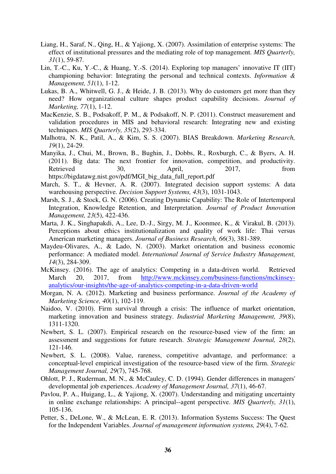- Liang, H., Saraf, N., Qing, H., & Yajiong, X. (2007). Assimilation of enterprise systems: The effect of institutional pressures and the mediating role of top management. *MIS Quarterly, 31*(1), 59-87.
- Lin, T.-C., Ku, Y.-C., & Huang, Y.-S. (2014). Exploring top managers' innovative IT (IIT) championing behavior: Integrating the personal and technical contexts. *Information & Management, 51*(1), 1-12.
- Lukas, B. A., Whitwell, G. J., & Heide, J. B. (2013). Why do customers get more than they need? How organizational culture shapes product capability decisions. *Journal of Marketing, 77*(1), 1-12.
- MacKenzie, S. B., Podsakoff, P. M., & Podsakoff, N. P. (2011). Construct measurement and validation procedures in MIS and behavioral research: Integrating new and existing techniques. *MIS Quarterly, 35*(2), 293-334.
- Malhotra, N. K., Patil, A., & Kim, S. S. (2007). BIAS Breakdown. *Marketing Research, 19*(1), 24-29.
- Manyika, J., Chui, M., Brown, B., Bughin, J., Dobbs, R., Roxburgh, C., & Byers, A. H. (2011). Big data: The next frontier for innovation, competition, and productivity. Retrieved 30, April, 2017, from https://bigdatawg.nist.gov/pdf/MGI\_big\_data\_full\_report.pdf
- March, S. T., & Hevner, A. R. (2007). Integrated decision support systems: A data warehousing perspective. *Decision Support Systems, 43*(3), 1031-1043.
- Marsh, S. J., & Stock, G. N. (2006). Creating Dynamic Capability: The Role of Intertemporal Integration, Knowledge Retention, and Interpretation. *Journal of Product Innovation Management, 23*(5), 422-436.
- Marta, J. K., Singhapakdi, A., Lee, D.-J., Sirgy, M. J., Koonmee, K., & Virakul, B. (2013). Perceptions about ethics institutionalization and quality of work life: Thai versus American marketing managers. *Journal of Business Research, 66*(3), 381-389.
- Maydeu-Olivares, A., & Lado, N. (2003). Market orientation and business economic performance: A mediated model. *International Journal of Service Industry Management, 14*(3), 284-309.
- McKinsey. (2016). The age of analytics: Competing in a data-driven world. Retrieved March 20, 2017, from http://www.mckinsey.com/business-functions/mckinseyanalytics/our-insights/the-age-of-analytics-competing-in-a-data-driven-world
- Morgan, N. A. (2012). Marketing and business performance. *Journal of the Academy of Marketing Science, 40*(1), 102-119.
- Naidoo, V. (2010). Firm survival through a crisis: The influence of market orientation, marketing innovation and business strategy. *Industrial Marketing Management, 39*(8), 1311-1320.
- Newbert, S. L. (2007). Empirical research on the resource-based view of the firm: an assessment and suggestions for future research. *Strategic Management Journal, 28*(2), 121-146.
- Newbert, S. L. (2008). Value, rareness, competitive advantage, and performance: a conceptual‐level empirical investigation of the resource‐based view of the firm. *Strategic Management Journal, 29*(7), 745-768.
- Ohlott, P. J., Ruderman, M. N., & McCauley, C. D. (1994). Gender differences in managers' developmental job experiences. *Academy of Management Journal, 37*(1), 46-67.
- Pavlou, P. A., Huigang, L., & Yajiong, X. (2007). Understanding and mitigating uncertainty in online exchange relationships: A principal--agent perspective. *MIS Quarterly, 31*(1), 105-136.
- Petter, S., DeLone, W., & McLean, E. R. (2013). Information Systems Success: The Quest for the Independent Variables. *Journal of management information systems, 29*(4), 7-62.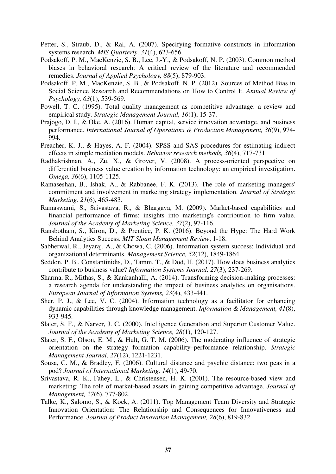- Petter, S., Straub, D., & Rai, A. (2007). Specifying formative constructs in information systems research. *MIS Quarterly, 31*(4), 623-656.
- Podsakoff, P. M., MacKenzie, S. B., Lee, J.-Y., & Podsakoff, N. P. (2003). Common method biases in behavioral research: A critical review of the literature and recommended remedies. *Journal of Applied Psychology, 88*(5), 879-903.
- Podsakoff, P. M., MacKenzie, S. B., & Podsakoff, N. P. (2012). Sources of Method Bias in Social Science Research and Recommendations on How to Control It. *Annual Review of Psychology, 63*(1), 539-569.
- Powell, T. C. (1995). Total quality management as competitive advantage: a review and empirical study. *Strategic Management Journal, 16*(1), 15-37.
- Prajogo, D. I., & Oke, A. (2016). Human capital, service innovation advantage, and business performance. *International Journal of Operations & Production Management, 36*(9), 974- 994.
- Preacher, K. J., & Hayes, A. F. (2004). SPSS and SAS procedures for estimating indirect effects in simple mediation models. *Behavior research methods, 36*(4), 717-731.
- Radhakrishnan, A., Zu, X., & Grover, V. (2008). A process-oriented perspective on differential business value creation by information technology: an empirical investigation. *Omega, 36*(6), 1105-1125.
- Ramaseshan, B., Ishak, A., & Rabbanee, F. K. (2013). The role of marketing managers' commitment and involvement in marketing strategy implementation. *Journal of Strategic Marketing, 21*(6), 465-483.
- Ramaswami, S., Srivastava, R., & Bhargava, M. (2009). Market-based capabilities and financial performance of firms: insights into marketing's contribution to firm value. *Journal of the Academy of Marketing Science, 37*(2), 97-116.
- Ransbotham, S., Kiron, D., & Prentice, P. K. (2016). Beyond the Hype: The Hard Work Behind Analytics Success. *MIT Sloan Management Review*, 1-18.
- Sabherwal, R., Jeyaraj, A., & Chowa, C. (2006). Information system success: Individual and organizational determinants. *Management Science, 52*(12), 1849-1864.
- Seddon, P. B., Constantinidis, D., Tamm, T., & Dod, H. (2017). How does business analytics contribute to business value? *Information Systems Journal, 27*(3), 237-269.
- Sharma, R., Mithas, S., & Kankanhalli, A. (2014). Transforming decision-making processes: a research agenda for understanding the impact of business analytics on organisations. *European Journal of Information Systems, 23*(4), 433-441.
- Sher, P. J., & Lee, V. C. (2004). Information technology as a facilitator for enhancing dynamic capabilities through knowledge management. *Information & Management, 41*(8), 933-945.
- Slater, S. F., & Narver, J. C. (2000). Intelligence Generation and Superior Customer Value. *Journal of the Academy of Marketing Science, 28*(1), 120-127.
- Slater, S. F., Olson, E. M., & Hult, G. T. M. (2006). The moderating influence of strategic orientation on the strategy formation capability–performance relationship. *Strategic Management Journal, 27*(12), 1221-1231.
- Sousa, C. M., & Bradley, F. (2006). Cultural distance and psychic distance: two peas in a pod? *Journal of International Marketing, 14*(1), 49-70.
- Srivastava, R. K., Fahey, L., & Christensen, H. K. (2001). The resource-based view and marketing: The role of market-based assets in gaining competitive advantage. *Journal of Management, 27*(6), 777-802.
- Talke, K., Salomo, S., & Kock, A. (2011). Top Management Team Diversity and Strategic Innovation Orientation: The Relationship and Consequences for Innovativeness and Performance. *Journal of Product Innovation Management, 28*(6), 819-832.